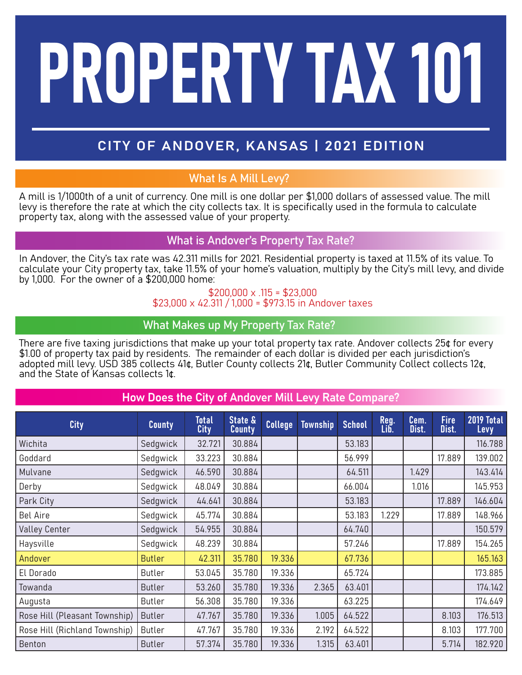# PROPERTY TAX 101

# CITY OF ANDOVER, KANSAS | 2021 EDITION

## What Is A Mill Levy?

A mill is 1/1000th of a unit of currency. One mill is one dollar per \$1,000 dollars of assessed value. The mill levy is therefore the rate at which the city collects tax. It is specifically used in the formula to calculate property tax, along with the assessed value of your property.

### What is Andover's Property Tax Rate?

In Andover, the City's tax rate was 42.311 mills for 2021. Residential property is taxed at 11.5% of its value. To calculate your City property tax, take 11.5% of your home's valuation, multiply by the City's mill levy, and divide by 1,000. For the owner of a \$200,000 home:

### $$200,000 \times .115 = $23,000$ \$23,000 x 42.311 / 1,000 = \$973.15 in Andover taxes

### What Makes up My Property Tax Rate?

There are five taxing jurisdictions that make up your total property tax rate. Andover collects 25¢ for every \$1.00 of property tax paid by residents. The remainder of each dollar is divided per each jurisdiction's adopted mill levy. USD 385 collects 41¢, Butler County collects 21¢, Butler Community Collect collects 12¢, and the State of Kansas collects 1¢.

### How Does the City of Andover Mill Levy Rate Compare?

| <b>City</b>                   | <b>County</b> | <b>Total</b><br>City | State &<br><b>County</b> | <b>College</b> | <b>Township</b> | <b>School</b> | Reg.<br>Lib. | Cem.<br>Dist. | <b>Fire</b><br>Dist. | 2019 Total<br>Levy |
|-------------------------------|---------------|----------------------|--------------------------|----------------|-----------------|---------------|--------------|---------------|----------------------|--------------------|
| Wichita                       | Sedgwick      | 32.721               | 30.884                   |                |                 | 53.183        |              |               |                      | 116.788            |
| Goddard                       | Sedgwick      | 33.223               | 30.884                   |                |                 | 56.999        |              |               | 17.889               | 139.002            |
| Mulvane                       | Sedgwick      | 46.590               | 30.884                   |                |                 | 64.511        |              | 1.429         |                      | 143.414            |
| Derby                         | Sedgwick      | 48.049               | 30.884                   |                |                 | 66.004        |              | 1.016         |                      | 145.953            |
| Park City                     | Sedgwick      | 44.641               | 30.884                   |                |                 | 53.183        |              |               | 17.889               | 146.604            |
| <b>Bel Aire</b>               | Sedgwick      | 45.774               | 30.884                   |                |                 | 53.183        | 1.229        |               | 17.889               | 148.966            |
| <b>Valley Center</b>          | Sedgwick      | 54.955               | 30.884                   |                |                 | 64.740        |              |               |                      | 150.579            |
| Haysville                     | Sedgwick      | 48.239               | 30.884                   |                |                 | 57.246        |              |               | 17.889               | 154.265            |
| Andover                       | <b>Butler</b> | 42.311               | 35.780                   | 19.336         |                 | 67.736        |              |               |                      | 165.163            |
| El Dorado                     | <b>Butler</b> | 53.045               | 35.780                   | 19.336         |                 | 65.724        |              |               |                      | 173.885            |
| Towanda                       | <b>Butler</b> | 53.260               | 35.780                   | 19.336         | 2.365           | 63.401        |              |               |                      | 174.142            |
| Augusta                       | <b>Butler</b> | 56.308               | 35.780                   | 19.336         |                 | 63.225        |              |               |                      | 174.649            |
| Rose Hill (Pleasant Township) | <b>Butler</b> | 47.767               | 35.780                   | 19.336         | 1.005           | 64.522        |              |               | 8.103                | 176.513            |
| Rose Hill (Richland Township) | <b>Butler</b> | 47.767               | 35.780                   | 19.336         | 2.192           | 64.522        |              |               | 8.103                | 177.700            |
| Benton                        | <b>Butler</b> | 57.374               | 35.780                   | 19.336         | 1.315           | 63.401        |              |               | 5.714                | 182.920            |